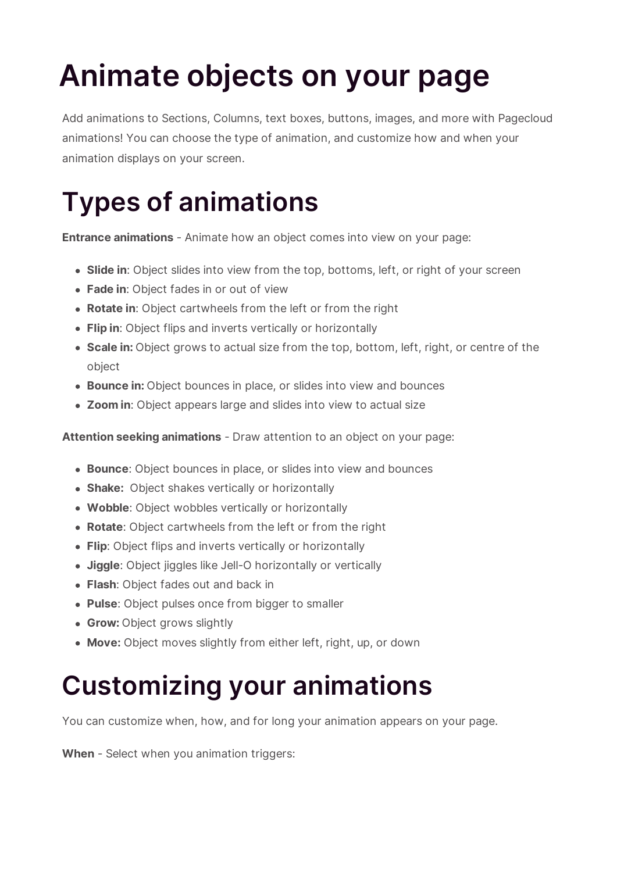# **Animate objects on your page**

Add animations to Sections, Columns, text boxes, buttons, images, and more with Pagecloud animations! You can choose the type of animation, and customize how and when your animation displays on your screen.

## **Types of animations**

**Entrance animations** - Animate how an object comes into view on your page:

- **Slide in**: Object slides into view from the top, bottoms, left, or right of your screen
- **Fade in**: Object fades in or out of view
- **Rotate in**: Object cartwheels from the left or from the right
- **Flip in**: Object flips and inverts vertically or horizontally
- **Scale in:** Object grows to actual size from the top, bottom, left, right, or centre of the object
- **Bounce in:** Object bounces in place, or slides into view and bounces
- **Zoom in**: Object appears large and slides into view to actual size

**Attention seeking animations** - Draw attention to an object on your page:

- **Bounce**: Object bounces in place, or slides into view and bounces
- **Shake:** Object shakes vertically or horizontally
- **Wobble**: Object wobbles vertically or horizontally
- **Rotate**: Object cartwheels from the left or from the right
- **Flip**: Object flips and inverts vertically or horizontally
- **Jiggle**: Object jiggles like Jell-O horizontally or vertically
- **Flash**: Object fades out and back in
- **Pulse**: Object pulses once from bigger to smaller
- **Grow:** Object grows slightly
- **Move:** Object moves slightly from either left, right, up, or down

#### **Customizing your animations**

You can customize when, how, and for long your animation appears on your page.

**When** - Select when you animation triggers: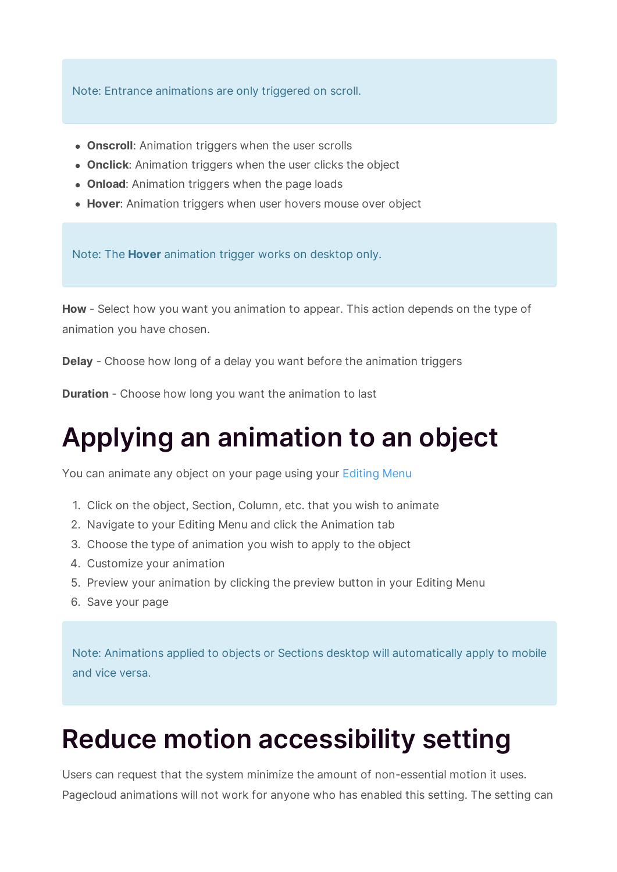Note: Entrance animations are only triggered on scroll.

- **Onscroll**: Animation triggers when the user scrolls
- **Onclick**: Animation triggers when the user clicks the object
- **Onload**: Animation triggers when the page loads
- **Hover**: Animation triggers when user hovers mouse over object

Note: The **Hover** animation trigger works on desktop only.

**How** - Select how you want you animation to appear. This action depends on the type of animation you have chosen.

**Delay** - Choose how long of a delay you want before the animation triggers

**Duration** - Choose how long you want the animation to last

#### **Applying an animation to an object**

You can animate any object on your page using your Editing Menu

- 1. Click on the object, Section, Column, etc. that you wish to animate
- 2. Navigate to your Editing Menu and click the Animation tab
- 3. Choose the type of animation you wish to apply to the object
- 4. Customize your animation
- 5. Preview your animation by clicking the preview button in your Editing Menu
- 6. Save your page

Note: Animations applied to objects or Sections desktop will automatically apply to mobile and vice versa.

### **Reduce motion accessibility setting**

Users can request that the system minimize the amount of non-essential motion it uses. Pagecloud animations will not work for anyone who has enabled this setting. The setting can